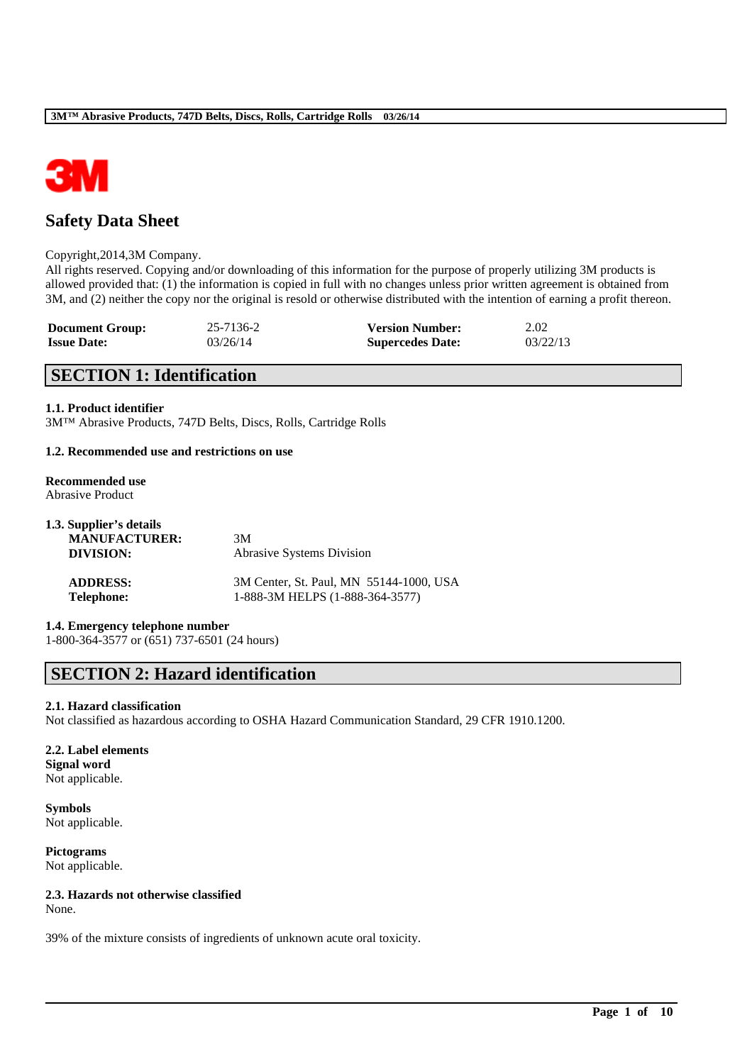

# **Safety Data Sheet**

#### Copyright,2014,3M Company.

All rights reserved. Copying and/or downloading of this information for the purpose of properly utilizing 3M products is allowed provided that: (1) the information is copied in full with no changes unless prior written agreement is obtained from 3M, and (2) neither the copy nor the original is resold or otherwise distributed with the intention of earning a profit thereon.

| <b>Document Group:</b> | 25-7136-2 | <b>Version Number:</b>  | 2.02     |
|------------------------|-----------|-------------------------|----------|
| <b>Issue Date:</b>     | 03/26/14  | <b>Supercedes Date:</b> | 03/22/13 |

# **SECTION 1: Identification**

### **1.1. Product identifier**

3M™ Abrasive Products, 747D Belts, Discs, Rolls, Cartridge Rolls

### **1.2. Recommended use and restrictions on use**

#### **Recommended use** Abrasive Product

| 1.3. Supplier's details |                                         |
|-------------------------|-----------------------------------------|
| <b>MANUFACTURER:</b>    | 3M                                      |
| DIVISION:               | <b>Abrasive Systems Division</b>        |
| <b>ADDRESS:</b>         | 3M Center, St. Paul, MN 55144-1000, USA |
| <b>Telephone:</b>       | 1-888-3M HELPS (1-888-364-3577)         |

### **1.4. Emergency telephone number**

1-800-364-3577 or (651) 737-6501 (24 hours)

# **SECTION 2: Hazard identification**

#### **2.1. Hazard classification**

Not classified as hazardous according to OSHA Hazard Communication Standard, 29 CFR 1910.1200.

\_\_\_\_\_\_\_\_\_\_\_\_\_\_\_\_\_\_\_\_\_\_\_\_\_\_\_\_\_\_\_\_\_\_\_\_\_\_\_\_\_\_\_\_\_\_\_\_\_\_\_\_\_\_\_\_\_\_\_\_\_\_\_\_\_\_\_\_\_\_\_\_\_\_\_\_\_\_\_\_\_\_\_\_\_\_\_\_\_\_

### **2.2. Label elements Signal word** Not applicable.

**Symbols** Not applicable.

**Pictograms** Not applicable.

### **2.3. Hazards not otherwise classified**

None.

39% of the mixture consists of ingredients of unknown acute oral toxicity.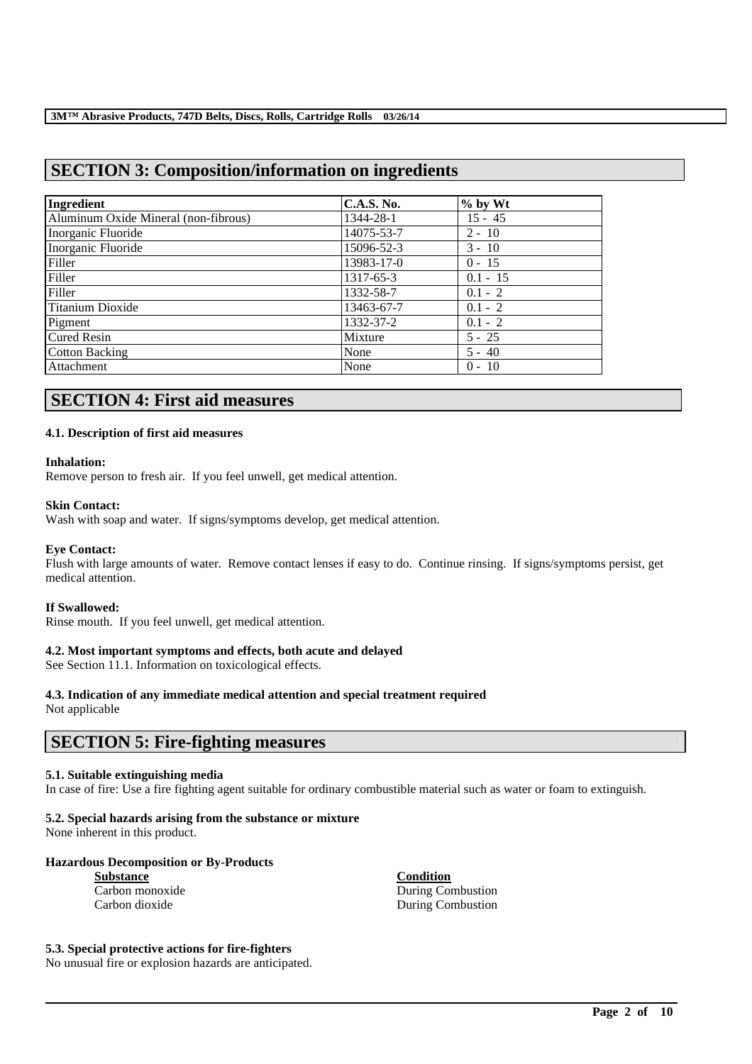# **SECTION 3: Composition/information on ingredients**

| Ingredient                           | <b>C.A.S. No.</b> | $%$ by Wt  |
|--------------------------------------|-------------------|------------|
| Aluminum Oxide Mineral (non-fibrous) | 1344-28-1         | $15 - 45$  |
| Inorganic Fluoride                   | 14075-53-7        | $2 - 10$   |
| Inorganic Fluoride                   | 15096-52-3        | $3 - 10$   |
| Filler                               | 13983-17-0        | $0 - 15$   |
| Filler                               | 1317-65-3         | $0.1 - 15$ |
| Filler                               | 1332-58-7         | $0.1 - 2$  |
| <b>Titanium Dioxide</b>              | 13463-67-7        | $0.1 - 2$  |
| Pigment                              | 1332-37-2         | $0.1 - 2$  |
| <b>Cured Resin</b>                   | Mixture           | $5 - 25$   |
| <b>Cotton Backing</b>                | None              | $5 - 40$   |
| Attachment                           | None              | $0 - 10$   |

# **SECTION 4: First aid measures**

### **4.1. Description of first aid measures**

### **Inhalation:**

Remove person to fresh air. If you feel unwell, get medical attention.

### **Skin Contact:**

Wash with soap and water. If signs/symptoms develop, get medical attention.

#### **Eye Contact:**

Flush with large amounts of water. Remove contact lenses if easy to do. Continue rinsing. If signs/symptoms persist, get medical attention.

#### **If Swallowed:**

Rinse mouth. If you feel unwell, get medical attention.

### **4.2. Most important symptoms and effects, both acute and delayed**

See Section 11.1. Information on toxicological effects.

# **4.3. Indication of any immediate medical attention and special treatment required**

Not applicable

## **SECTION 5: Fire-fighting measures**

#### **5.1. Suitable extinguishing media**

In case of fire: Use a fire fighting agent suitable for ordinary combustible material such as water or foam to extinguish.

\_\_\_\_\_\_\_\_\_\_\_\_\_\_\_\_\_\_\_\_\_\_\_\_\_\_\_\_\_\_\_\_\_\_\_\_\_\_\_\_\_\_\_\_\_\_\_\_\_\_\_\_\_\_\_\_\_\_\_\_\_\_\_\_\_\_\_\_\_\_\_\_\_\_\_\_\_\_\_\_\_\_\_\_\_\_\_\_\_\_

# **5.2. Special hazards arising from the substance or mixture**

None inherent in this product.

### **Hazardous Decomposition or By-Products**

**Substance**<br> **Carbon monoxide**<br> **Carbon monoxide**<br> **Carbon monoxide** 

During Combustion Carbon dioxide During Combustion

### **5.3. Special protective actions for fire-fighters**

No unusual fire or explosion hazards are anticipated.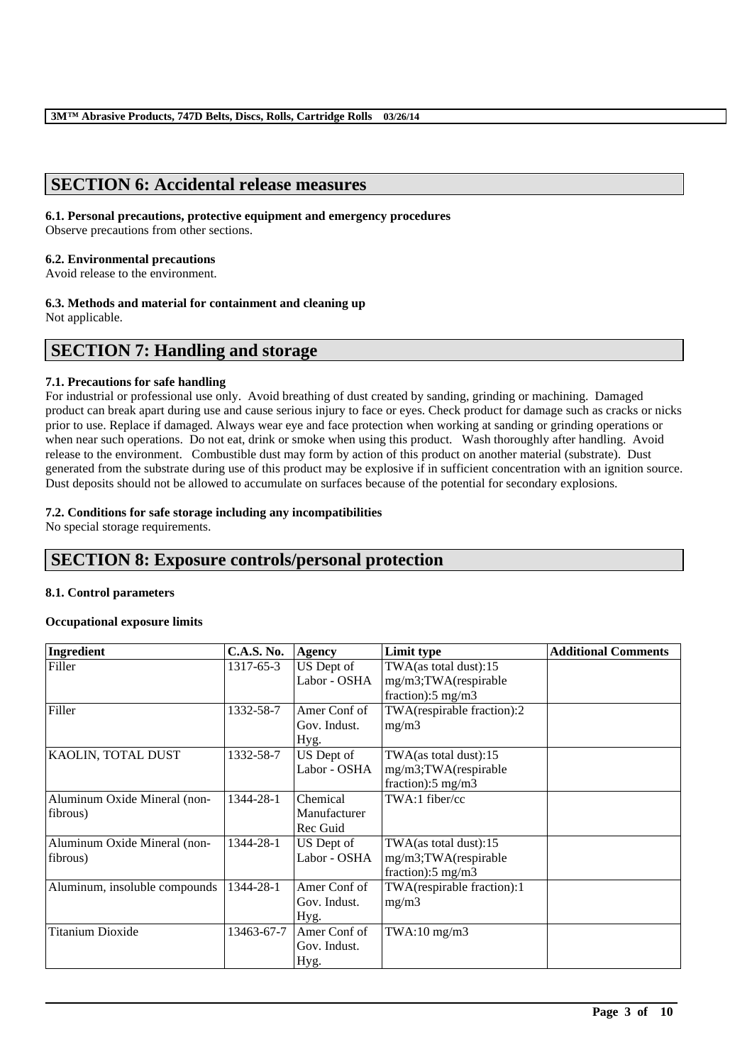# **SECTION 6: Accidental release measures**

### **6.1. Personal precautions, protective equipment and emergency procedures**

Observe precautions from other sections.

### **6.2. Environmental precautions**

Avoid release to the environment.

## **6.3. Methods and material for containment and cleaning up**

Not applicable.

# **SECTION 7: Handling and storage**

### **7.1. Precautions for safe handling**

For industrial or professional use only. Avoid breathing of dust created by sanding, grinding or machining. Damaged product can break apart during use and cause serious injury to face or eyes. Check product for damage such as cracks or nicks prior to use. Replace if damaged. Always wear eye and face protection when working at sanding or grinding operations or when near such operations. Do not eat, drink or smoke when using this product. Wash thoroughly after handling. Avoid release to the environment. Combustible dust may form by action of this product on another material (substrate). Dust generated from the substrate during use of this product may be explosive if in sufficient concentration with an ignition source. Dust deposits should not be allowed to accumulate on surfaces because of the potential for secondary explosions.

### **7.2. Conditions for safe storage including any incompatibilities**

No special storage requirements.

# **SECTION 8: Exposure controls/personal protection**

### **8.1. Control parameters**

### **Occupational exposure limits**

| Ingredient                               | <b>C.A.S. No.</b> | <b>Agency</b>                        | Limit type                                                                     | <b>Additional Comments</b> |
|------------------------------------------|-------------------|--------------------------------------|--------------------------------------------------------------------------------|----------------------------|
| Filler                                   | 1317-65-3         | US Dept of<br>Labor - OSHA           | TWA(as total dust):15<br>mg/m3;TWA(respirable<br>fraction): $5 \text{ mg/m}$ 3 |                            |
| Filler                                   | 1332-58-7         | Amer Conf of<br>Gov. Indust.<br>Hyg. | TWA(respirable fraction):2<br>mg/m3                                            |                            |
| KAOLIN, TOTAL DUST                       | 1332-58-7         | US Dept of<br>Labor - OSHA           | TWA(as total dust):15<br>mg/m3;TWA(respirable<br>fraction):5 mg/m3             |                            |
| Aluminum Oxide Mineral (non-<br>fibrous) | 1344-28-1         | Chemical<br>Manufacturer<br>Rec Guid | TWA:1 fiber/cc                                                                 |                            |
| Aluminum Oxide Mineral (non-<br>fibrous) | 1344-28-1         | US Dept of<br>Labor - OSHA           | TWA(as total dust):15<br>mg/m3;TWA(respirable<br>fraction): $5 \text{ mg/m}$ 3 |                            |
| Aluminum, insoluble compounds            | 1344-28-1         | Amer Conf of<br>Gov. Indust.<br>Hyg. | TWA(respirable fraction):1<br>mg/m3                                            |                            |
| <b>Titanium Dioxide</b>                  | 13463-67-7        | Amer Conf of<br>Gov. Indust.<br>Hyg. | TWA:10 mg/m3                                                                   |                            |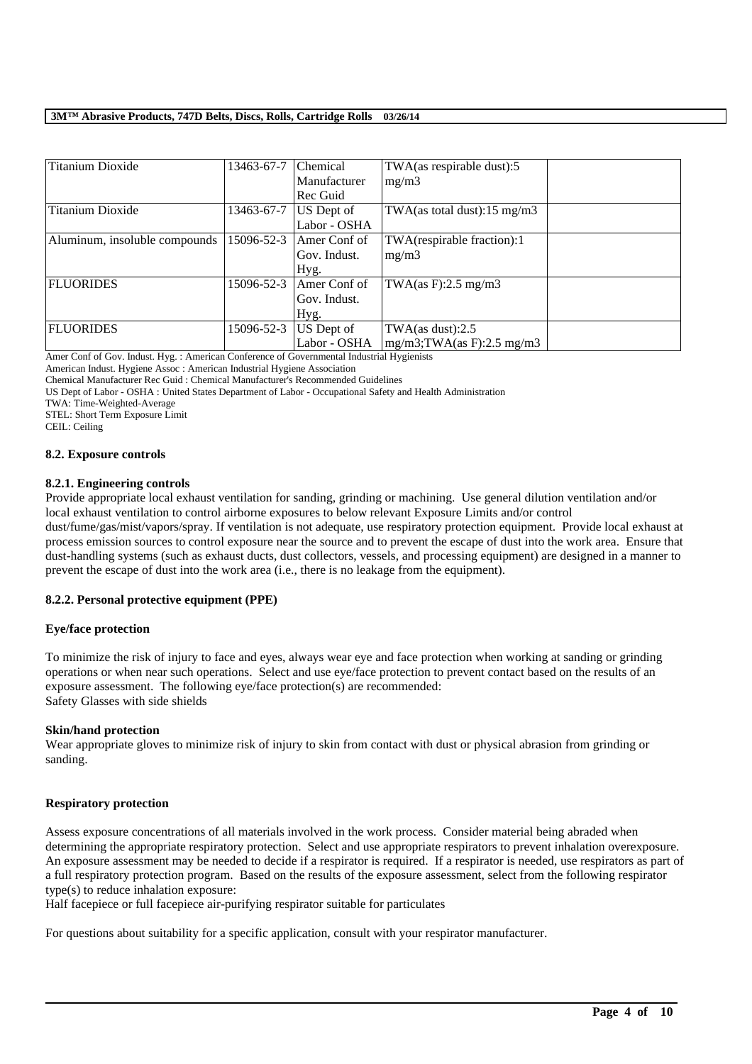| <b>Titanium Dioxide</b>       | 13463-67-7 | Chemical     | TWA(as respirable dust):5               |  |
|-------------------------------|------------|--------------|-----------------------------------------|--|
|                               |            | Manufacturer | mg/m3                                   |  |
|                               |            | Rec Guid     |                                         |  |
| Titanium Dioxide              | 13463-67-7 | US Dept of   | TWA(as total dust): $15 \text{ mg/m}$ 3 |  |
|                               |            | Labor - OSHA |                                         |  |
| Aluminum, insoluble compounds | 15096-52-3 | Amer Conf of | TWA(respirable fraction):1              |  |
|                               |            | Gov. Indust. | mg/m3                                   |  |
|                               |            | Hyg.         |                                         |  |
| <b>FLUORIDES</b>              | 15096-52-3 | Amer Conf of | TWA $(as F): 2.5 mg/m3$                 |  |
|                               |            | Gov. Indust. |                                         |  |
|                               |            | Hyg.         |                                         |  |
| <b>FLUORIDES</b>              | 15096-52-3 | US Dept of   | TWA $(as dust):2.5$                     |  |
|                               |            | Labor - OSHA | $mg/m3$ ; TWA(as F): 2.5 mg/m3          |  |

Amer Conf of Gov. Indust. Hyg. : American Conference of Governmental Industrial Hygienists

American Indust. Hygiene Assoc : American Industrial Hygiene Association

Chemical Manufacturer Rec Guid : Chemical Manufacturer's Recommended Guidelines

US Dept of Labor - OSHA : United States Department of Labor - Occupational Safety and Health Administration

TWA: Time-Weighted-Average

STEL: Short Term Exposure Limit

CEIL: Ceiling

#### **8.2. Exposure controls**

### **8.2.1. Engineering controls**

Provide appropriate local exhaust ventilation for sanding, grinding or machining. Use general dilution ventilation and/or local exhaust ventilation to control airborne exposures to below relevant Exposure Limits and/or control

dust/fume/gas/mist/vapors/spray. If ventilation is not adequate, use respiratory protection equipment. Provide local exhaust at process emission sources to control exposure near the source and to prevent the escape of dust into the work area. Ensure that dust-handling systems (such as exhaust ducts, dust collectors, vessels, and processing equipment) are designed in a manner to prevent the escape of dust into the work area (i.e., there is no leakage from the equipment).

### **8.2.2. Personal protective equipment (PPE)**

### **Eye/face protection**

To minimize the risk of injury to face and eyes, always wear eye and face protection when working at sanding or grinding operations or when near such operations. Select and use eye/face protection to prevent contact based on the results of an exposure assessment. The following eye/face protection(s) are recommended: Safety Glasses with side shields

#### **Skin/hand protection**

Wear appropriate gloves to minimize risk of injury to skin from contact with dust or physical abrasion from grinding or sanding.

#### **Respiratory protection**

Assess exposure concentrations of all materials involved in the work process. Consider material being abraded when determining the appropriate respiratory protection. Select and use appropriate respirators to prevent inhalation overexposure. An exposure assessment may be needed to decide if a respirator is required. If a respirator is needed, use respirators as part of a full respiratory protection program. Based on the results of the exposure assessment, select from the following respirator type(s) to reduce inhalation exposure:

\_\_\_\_\_\_\_\_\_\_\_\_\_\_\_\_\_\_\_\_\_\_\_\_\_\_\_\_\_\_\_\_\_\_\_\_\_\_\_\_\_\_\_\_\_\_\_\_\_\_\_\_\_\_\_\_\_\_\_\_\_\_\_\_\_\_\_\_\_\_\_\_\_\_\_\_\_\_\_\_\_\_\_\_\_\_\_\_\_\_

Half facepiece or full facepiece air-purifying respirator suitable for particulates

For questions about suitability for a specific application, consult with your respirator manufacturer.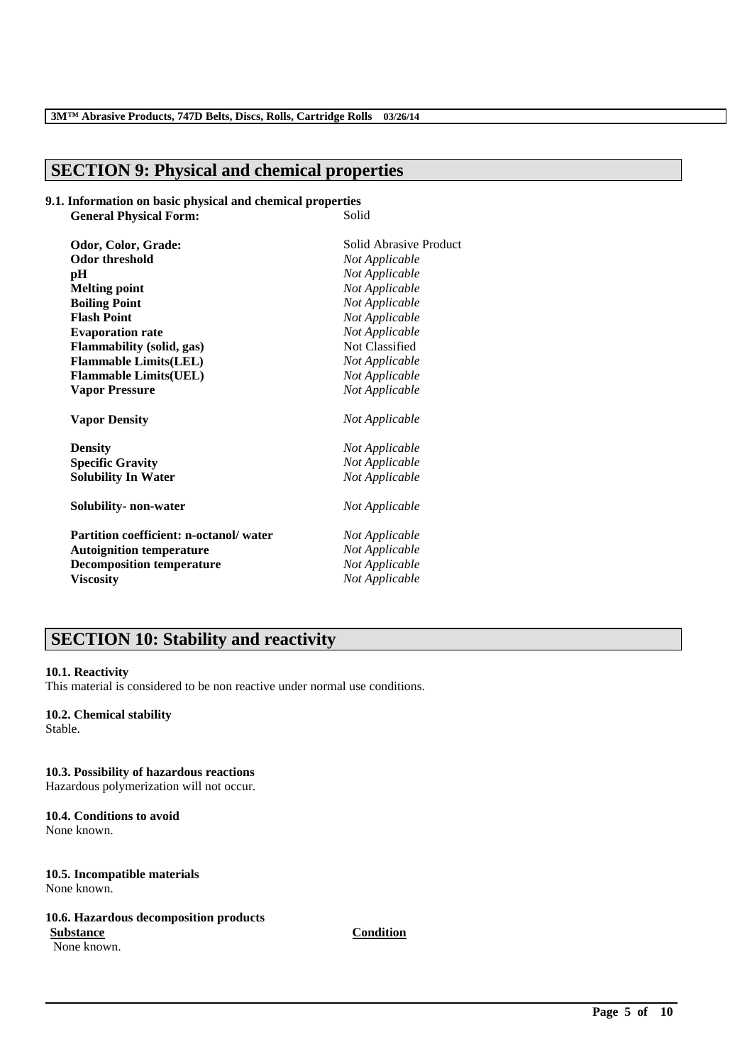# **SECTION 9: Physical and chemical properties**

#### **9.1. Information on basic physical and chemical properties General Physical Forms**

| General Physical Porin;                | oulu                   |
|----------------------------------------|------------------------|
| Odor, Color, Grade:                    | Solid Abrasive Product |
| <b>Odor threshold</b>                  | Not Applicable         |
| pН                                     | Not Applicable         |
| <b>Melting point</b>                   | Not Applicable         |
| <b>Boiling Point</b>                   | Not Applicable         |
| <b>Flash Point</b>                     | Not Applicable         |
| <b>Evaporation rate</b>                | Not Applicable         |
| Flammability (solid, gas)              | Not Classified         |
| <b>Flammable Limits(LEL)</b>           | Not Applicable         |
| <b>Flammable Limits(UEL)</b>           | Not Applicable         |
| <b>Vapor Pressure</b>                  | Not Applicable         |
| <b>Vapor Density</b>                   | Not Applicable         |
| <b>Density</b>                         | Not Applicable         |
| <b>Specific Gravity</b>                | Not Applicable         |
| <b>Solubility In Water</b>             | Not Applicable         |
| Solubility- non-water                  | Not Applicable         |
| Partition coefficient: n-octanol/water | Not Applicable         |
| <b>Autoignition temperature</b>        | Not Applicable         |
| <b>Decomposition temperature</b>       | Not Applicable         |
| <b>Viscosity</b>                       | Not Applicable         |
|                                        |                        |

# **SECTION 10: Stability and reactivity**

### **10.1. Reactivity**

This material is considered to be non reactive under normal use conditions.

### **10.2. Chemical stability**

Stable.

# **10.3. Possibility of hazardous reactions**

Hazardous polymerization will not occur.

### **10.4. Conditions to avoid** None known.

### **10.5. Incompatible materials** None known.

### **10.6. Hazardous decomposition products Substance Condition**

None known.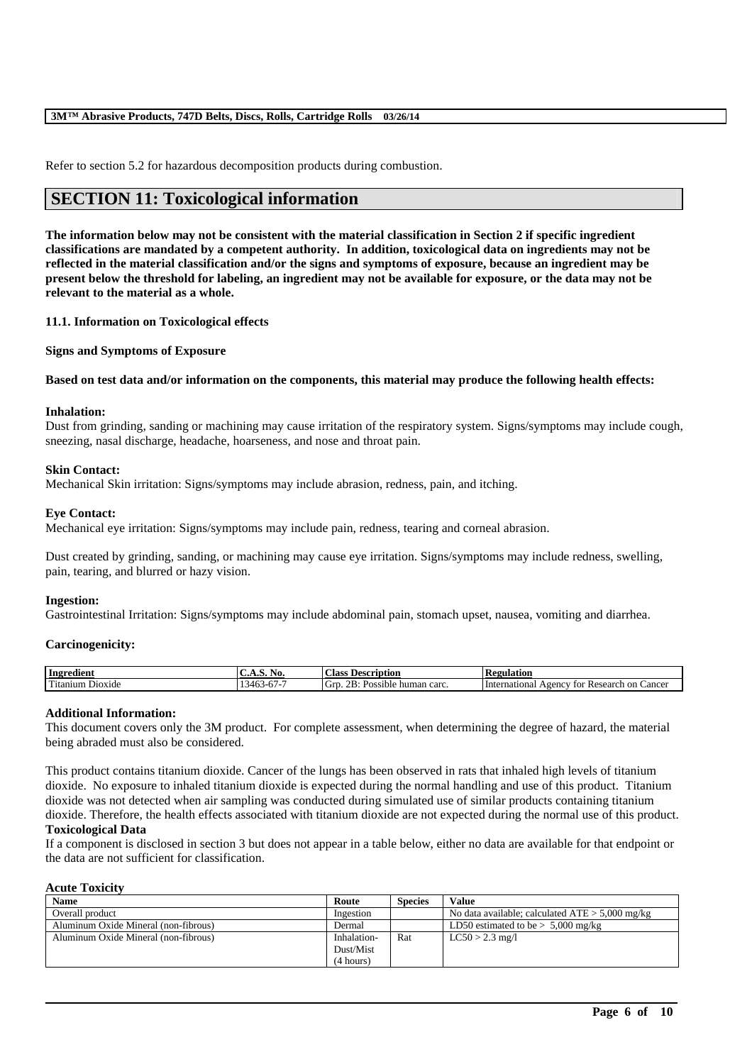Refer to section 5.2 for hazardous decomposition products during combustion.

# **SECTION 11: Toxicological information**

**The information below may not be consistent with the material classification in Section 2 if specific ingredient classifications are mandated by a competent authority. In addition, toxicological data on ingredients may not be reflected in the material classification and/or the signs and symptoms of exposure, because an ingredient may be present below the threshold for labeling, an ingredient may not be available for exposure, or the data may not be relevant to the material as a whole.**

### **11.1. Information on Toxicological effects**

**Signs and Symptoms of Exposure**

### **Based on test data and/or information on the components, this material may produce the following health effects:**

#### **Inhalation:**

Dust from grinding, sanding or machining may cause irritation of the respiratory system. Signs/symptoms may include cough, sneezing, nasal discharge, headache, hoarseness, and nose and throat pain.

### **Skin Contact:**

Mechanical Skin irritation: Signs/symptoms may include abrasion, redness, pain, and itching.

#### **Eye Contact:**

Mechanical eye irritation: Signs/symptoms may include pain, redness, tearing and corneal abrasion.

Dust created by grinding, sanding, or machining may cause eye irritation. Signs/symptoms may include redness, swelling, pain, tearing, and blurred or hazy vision.

#### **Ingestion:**

Gastrointestinal Irritation: Signs/symptoms may include abdominal pain, stomach upset, nausea, vomiting and diarrhea.

#### **Carcinogenicity:**

| - Ingredient                           | U.A.S. No.                            | $\sim$<br>Description<br>Aass:                                        | <b>Regulation</b>                                                  |
|----------------------------------------|---------------------------------------|-----------------------------------------------------------------------|--------------------------------------------------------------------|
| rm*<br>D <sub>10X1</sub> de<br>itanıum | $\sim$<br>34h<br>r. <i>.</i> .<br>. . | റ്റാ.<br>-<br>. GIP<br>: human carc.<br>Pos:<br>sible.<br>USSIL.<br>. | Research on<br>International<br>$\triangle$ gency<br>Cancer<br>tor |

#### **Additional Information:**

This document covers only the 3M product. For complete assessment, when determining the degree of hazard, the material being abraded must also be considered.

This product contains titanium dioxide. Cancer of the lungs has been observed in rats that inhaled high levels of titanium dioxide. No exposure to inhaled titanium dioxide is expected during the normal handling and use of this product. Titanium dioxide was not detected when air sampling was conducted during simulated use of similar products containing titanium dioxide. Therefore, the health effects associated with titanium dioxide are not expected during the normal use of this product.

#### **Toxicological Data**

If a component is disclosed in section 3 but does not appear in a table below, either no data are available for that endpoint or the data are not sufficient for classification.

#### **Acute Toxicity**

| <b>Name</b>                          | Route       | <b>Species</b> | Value                                             |
|--------------------------------------|-------------|----------------|---------------------------------------------------|
| Overall product                      | Ingestion   |                | No data available; calculated $ATE > 5,000$ mg/kg |
| Aluminum Oxide Mineral (non-fibrous) | Dermal      |                | LD50 estimated to be $> 5,000$ mg/kg              |
| Aluminum Oxide Mineral (non-fibrous) | Inhalation- | Rat            | $LC50 > 2.3$ mg/l                                 |
|                                      | Dust/Mist   |                |                                                   |
|                                      | (4 hours)   |                |                                                   |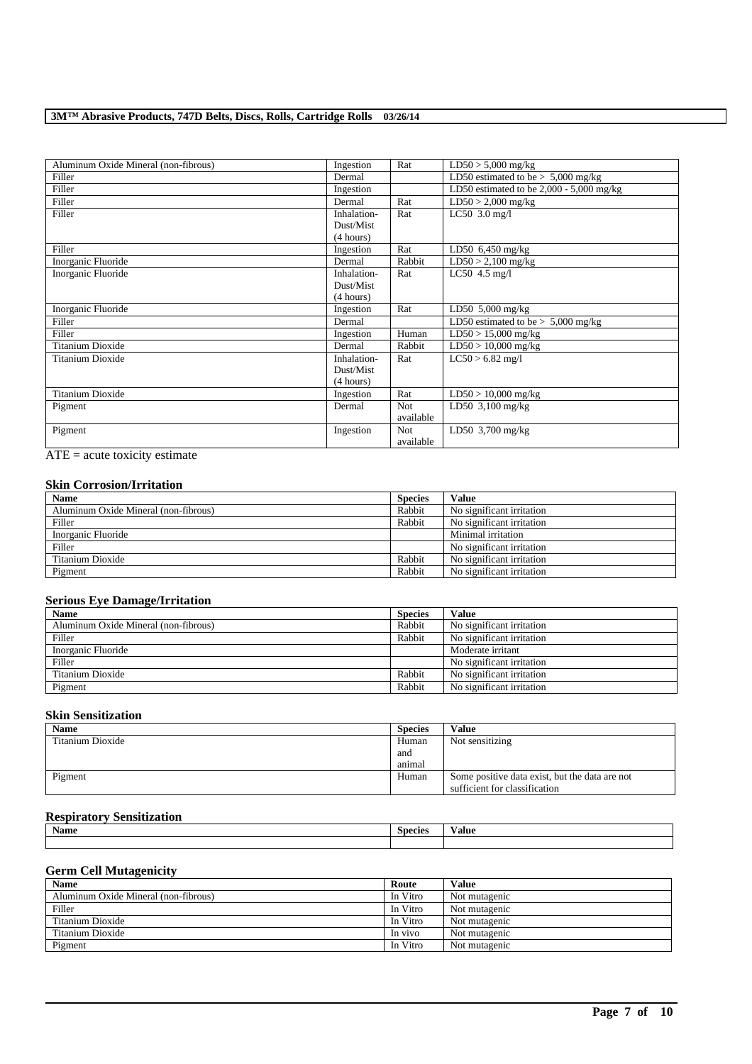| Aluminum Oxide Mineral (non-fibrous) | Ingestion   | Rat        | $LD50 > 5,000$ mg/kg                       |
|--------------------------------------|-------------|------------|--------------------------------------------|
| Filler                               | Dermal      |            | LD50 estimated to be $> 5,000$ mg/kg       |
| Filler                               | Ingestion   |            | LD50 estimated to be $2,000 - 5,000$ mg/kg |
| Filler                               | Dermal      | Rat        | $LD50 > 2,000$ mg/kg                       |
| Filler                               | Inhalation- | Rat        | LC50 $3.0$ mg/l                            |
|                                      | Dust/Mist   |            |                                            |
|                                      | (4 hours)   |            |                                            |
| Filler                               | Ingestion   | Rat        | LD50 $6,450$ mg/kg                         |
| Inorganic Fluoride                   | Dermal      | Rabbit     | $LD50 > 2,100$ mg/kg                       |
| Inorganic Fluoride                   | Inhalation- | Rat        | LC50 $4.5$ mg/l                            |
|                                      | Dust/Mist   |            |                                            |
|                                      | (4 hours)   |            |                                            |
| Inorganic Fluoride                   | Ingestion   | Rat        | LD50 5,000 mg/kg                           |
| Filler                               | Dermal      |            | LD50 estimated to be $> 5,000$ mg/kg       |
| Filler                               | Ingestion   | Human      | $LD50 > 15,000$ mg/kg                      |
| Titanium Dioxide                     | Dermal      | Rabbit     | $LD50 > 10,000$ mg/kg                      |
| Titanium Dioxide                     | Inhalation- | Rat        | $LC50 > 6.82$ mg/l                         |
|                                      | Dust/Mist   |            |                                            |
|                                      | (4 hours)   |            |                                            |
| Titanium Dioxide                     | Ingestion   | Rat        | $LD50 > 10,000$ mg/kg                      |
| Pigment                              | Dermal      | <b>Not</b> | LD50 $3,100$ mg/kg                         |
|                                      |             | available  |                                            |
| Pigment                              | Ingestion   | <b>Not</b> | LD50 $3,700$ mg/kg                         |
|                                      |             | available  |                                            |

ATE = acute toxicity estimate

### **Skin Corrosion/Irritation**

| <b>Name</b>                          | <b>Species</b> | Value                     |
|--------------------------------------|----------------|---------------------------|
| Aluminum Oxide Mineral (non-fibrous) | Rabbit         | No significant irritation |
| Filler                               | Rabbit         | No significant irritation |
| Inorganic Fluoride                   |                | Minimal irritation        |
| Filler                               |                | No significant irritation |
| Titanium Dioxide                     | Rabbit         | No significant irritation |
| Pigment                              | Rabbit         | No significant irritation |

### **Serious Eye Damage/Irritation**

| <b>Name</b>                          | <b>Species</b> | <b>Value</b>              |
|--------------------------------------|----------------|---------------------------|
| Aluminum Oxide Mineral (non-fibrous) | Rabbit         | No significant irritation |
| Filler                               | Rabbit         | No significant irritation |
| Inorganic Fluoride                   |                | Moderate irritant         |
| Filler                               |                | No significant irritation |
| Titanium Dioxide                     | Rabbit         | No significant irritation |
| Pigment                              | Rabbit         | No significant irritation |

### **Skin Sensitization**

| Name             | <b>Species</b> | Value                                          |
|------------------|----------------|------------------------------------------------|
| Titanium Dioxide | Human          | Not sensitizing                                |
|                  | and            |                                                |
|                  | animal         |                                                |
| Pigment          | Human          | Some positive data exist, but the data are not |
|                  |                | sufficient for classification                  |

### **Respiratory Sensitization**

| Name | -<br><b>Species</b> | ⁄ alue |
|------|---------------------|--------|
|      |                     |        |
|      |                     |        |

### **Germ Cell Mutagenicity**

| <b>Name</b>                          | Route    | Value         |
|--------------------------------------|----------|---------------|
| Aluminum Oxide Mineral (non-fibrous) | In Vitro | Not mutagenic |
| Filler                               | In Vitro | Not mutagenic |
| Titanium Dioxide                     | In Vitro | Not mutagenic |
| Titanium Dioxide                     | In vivo  | Not mutagenic |
| Pigment                              | In Vitro | Not mutagenic |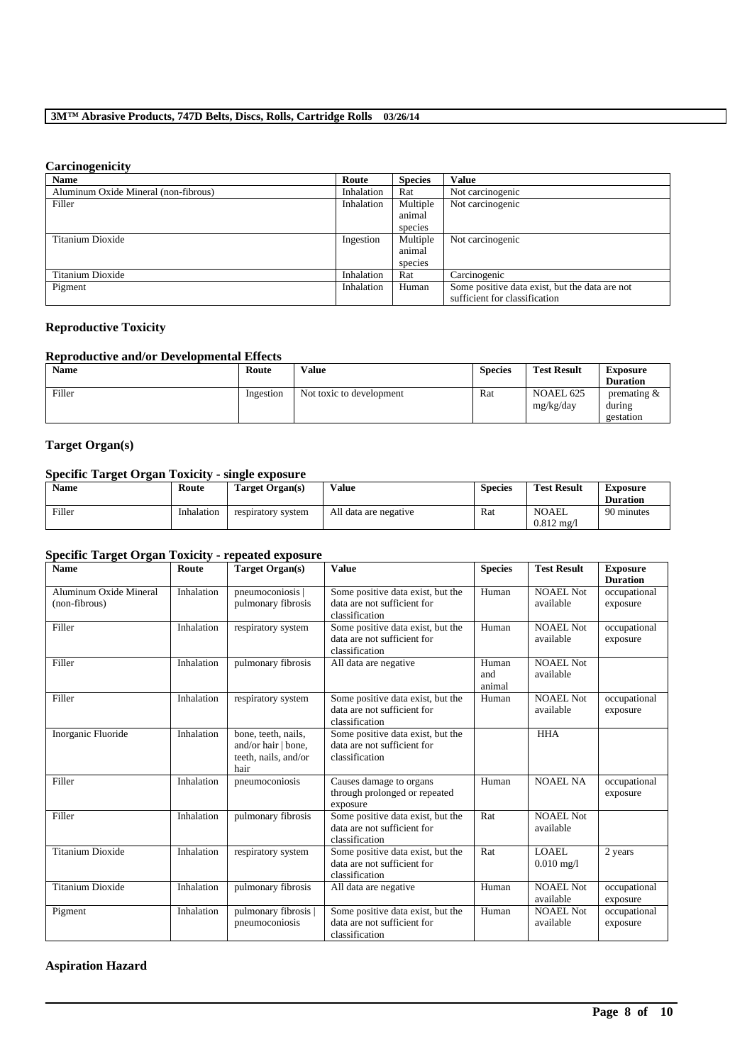# **Carcinogenicity**

| <b>Name</b>                          | Route      | <b>Species</b> | Value                                          |
|--------------------------------------|------------|----------------|------------------------------------------------|
| Aluminum Oxide Mineral (non-fibrous) | Inhalation | Rat            | Not carcinogenic                               |
| Filler                               | Inhalation | Multiple       | Not carcinogenic                               |
|                                      |            | animal         |                                                |
|                                      |            | species        |                                                |
| Titanium Dioxide                     | Ingestion  | Multiple       | Not carcinogenic                               |
|                                      |            | animal         |                                                |
|                                      |            | species        |                                                |
| Titanium Dioxide                     | Inhalation | Rat            | Carcinogenic                                   |
| Pigment                              | Inhalation | Human          | Some positive data exist, but the data are not |
|                                      |            |                | sufficient for classification                  |

### **Reproductive Toxicity**

### **Reproductive and/or Developmental Effects**

| <b>Name</b> | Route     | <b>Value</b>             | <b>Species</b> | <b>Test Result</b>            | <b>Exposure</b>                                                  |
|-------------|-----------|--------------------------|----------------|-------------------------------|------------------------------------------------------------------|
|             |           |                          |                |                               | <b>Duration</b>                                                  |
| Filler      | Ingestion | Not toxic to development | Rat            | <b>NOAEL 625</b><br>mg/kg/day | $v$ or $v$ are not in the set of $\alpha$<br>during<br>gestation |

## **Target Organ(s)**

### **Specific Target Organ Toxicity - single exposure**

| <b>Name</b> | Route      | Target Organ(s)    | Value                 | <b>Species</b> | <b>Test Result</b>             | <b>Exposure</b><br><b>Duration</b> |
|-------------|------------|--------------------|-----------------------|----------------|--------------------------------|------------------------------------|
| Filler      | Inhalation | respiratory system | All data are negative | Rat            | NOAEL<br>$0.812 \text{ mg}$ /l | 90 minutes                         |

### **Specific Target Organ Toxicity - repeated exposure**

| <b>Name</b>                             | Route      | Target Organ(s)                                                            | <b>Value</b>                                                                       | <b>Species</b>         | <b>Test Result</b>            | <b>Exposure</b><br><b>Duration</b> |
|-----------------------------------------|------------|----------------------------------------------------------------------------|------------------------------------------------------------------------------------|------------------------|-------------------------------|------------------------------------|
| Aluminum Oxide Mineral<br>(non-fibrous) | Inhalation | pneumoconiosis<br>pulmonary fibrosis                                       | Some positive data exist, but the<br>data are not sufficient for<br>classification | Human                  | <b>NOAEL Not</b><br>available | occupational<br>exposure           |
| Filler                                  | Inhalation | respiratory system                                                         | Some positive data exist, but the<br>data are not sufficient for<br>classification | Human                  | NOAEL Not<br>available        | occupational<br>exposure           |
| Filler                                  | Inhalation | pulmonary fibrosis                                                         | All data are negative                                                              | Human<br>and<br>animal | NOAEL Not<br>available        |                                    |
| Filler                                  | Inhalation | respiratory system                                                         | Some positive data exist, but the<br>data are not sufficient for<br>classification | Human                  | <b>NOAEL Not</b><br>available | occupational<br>exposure           |
| Inorganic Fluoride                      | Inhalation | bone, teeth, nails,<br>and/or hair   bone,<br>teeth, nails, and/or<br>hair | Some positive data exist, but the<br>data are not sufficient for<br>classification |                        | <b>HHA</b>                    |                                    |
| Filler                                  | Inhalation | pneumoconiosis                                                             | Causes damage to organs<br>through prolonged or repeated<br>exposure               | Human                  | <b>NOAEL NA</b>               | occupational<br>exposure           |
| Filler                                  | Inhalation | pulmonary fibrosis                                                         | Some positive data exist, but the<br>data are not sufficient for<br>classification | Rat                    | <b>NOAEL Not</b><br>available |                                    |
| <b>Titanium Dioxide</b>                 | Inhalation | respiratory system                                                         | Some positive data exist, but the<br>data are not sufficient for<br>classification | Rat                    | LOAEL<br>$0.010$ mg/l         | 2 years                            |
| Titanium Dioxide                        | Inhalation | pulmonary fibrosis                                                         | All data are negative                                                              | Human                  | <b>NOAEL Not</b><br>available | occupational<br>exposure           |
| Pigment                                 | Inhalation | pulmonary fibrosis  <br>pneumoconiosis                                     | Some positive data exist, but the<br>data are not sufficient for<br>classification | Human                  | <b>NOAEL Not</b><br>available | occupational<br>exposure           |

\_\_\_\_\_\_\_\_\_\_\_\_\_\_\_\_\_\_\_\_\_\_\_\_\_\_\_\_\_\_\_\_\_\_\_\_\_\_\_\_\_\_\_\_\_\_\_\_\_\_\_\_\_\_\_\_\_\_\_\_\_\_\_\_\_\_\_\_\_\_\_\_\_\_\_\_\_\_\_\_\_\_\_\_\_\_\_\_\_\_

### **Aspiration Hazard**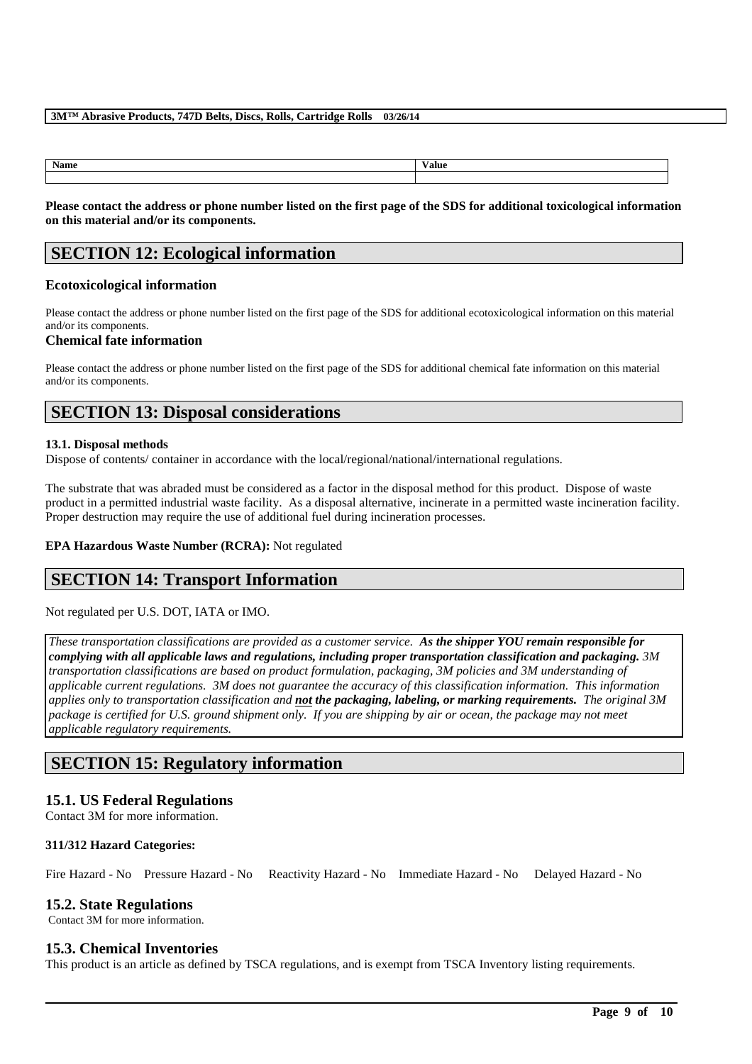| Name | <b>Value</b> |
|------|--------------|
|      |              |

**Please contact the address or phone number listed on the first page of the SDS for additional toxicological information on this material and/or its components.**

# **SECTION 12: Ecological information**

### **Ecotoxicological information**

Please contact the address or phone number listed on the first page of the SDS for additional ecotoxicological information on this material and/or its components.

### **Chemical fate information**

Please contact the address or phone number listed on the first page of the SDS for additional chemical fate information on this material and/or its components.

# **SECTION 13: Disposal considerations**

### **13.1. Disposal methods**

Dispose of contents/ container in accordance with the local/regional/national/international regulations.

The substrate that was abraded must be considered as a factor in the disposal method for this product. Dispose of waste product in a permitted industrial waste facility. As a disposal alternative, incinerate in a permitted waste incineration facility. Proper destruction may require the use of additional fuel during incineration processes.

### **EPA Hazardous Waste Number (RCRA):** Not regulated

# **SECTION 14: Transport Information**

Not regulated per U.S. DOT, IATA or IMO.

*These transportation classifications are provided as a customer service. As the shipper YOU remain responsible for complying with all applicable laws and regulations, including proper transportation classification and packaging. 3M transportation classifications are based on product formulation, packaging, 3M policies and 3M understanding of applicable current regulations. 3M does not guarantee the accuracy of this classification information. This information applies only to transportation classification and not the packaging, labeling, or marking requirements. The original 3M package is certified for U.S. ground shipment only. If you are shipping by air or ocean, the package may not meet applicable regulatory requirements.* 

# **SECTION 15: Regulatory information**

### **15.1. US Federal Regulations**

Contact 3M for more information.

### **311/312 Hazard Categories:**

Fire Hazard - No Pressure Hazard - No Reactivity Hazard - No Immediate Hazard - No Delayed Hazard - No

### **15.2. State Regulations**

Contact 3M for more information.

### **15.3. Chemical Inventories**

This product is an article as defined by TSCA regulations, and is exempt from TSCA Inventory listing requirements.